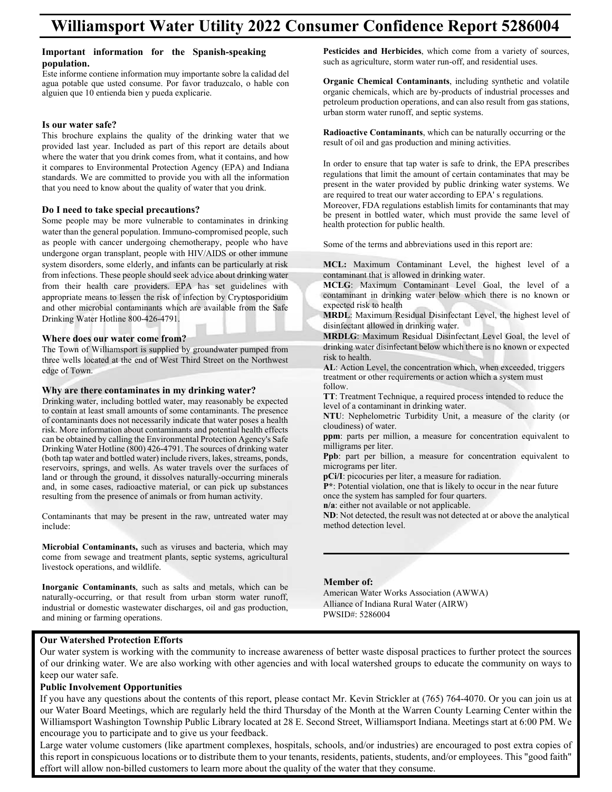### Important information for the Spanish-speaking **population.**  amporum mormanon for inc opur

**population.**<br>Este informe contiene information muy importante sobre la calidad del Este informe contiene information muy importante sobre la candad del<br>agua potable que usted consume. Por favor traduzcalo, o hable con alguien que 10 entienda bien y pueda explicarie.  $\begin{bmatrix} 1 & 1 \\ 1 & 1 \end{bmatrix}$ Esta pottole que usica consume. For lavor traduzcato, o naote con aguien que 10 entiendo bien y poeda expirante.

Este informe contiene information muy importante sobre la calidad del

### Is our water safe?

This brochure explains the quality of the drinking water that we argued all Let use a Jacket compare of this and indiana and Indiana and Indiana and Indiana and Indiana and Indiana and Indiana and Indiana and Indiana and I provided last year. Included as part of this report are details about where the water that you drink comes from, what it contains, and how it compares to Environmental Protection Agency (EPA) and Indiana<br>where the water that you denote the water that it contains the water that you denote standards. We are committed to provide you with all the information that you need to know about the quality of water that you drink.  $T_{\text{total}}$  and  $T_{\text{total}}$  are drinking water that we determine the drinking water that we determine that we determine that we determine the drinking was determined water that we determine the drinking was determined water t where the water that you think comes from, what it contains, and now

water than the general population. In the general population  $\mathcal{L}$ 

# **Do I need to take special precautions?**

Some people may be more vulnerable to contaminates in drinking and transplant, people with HIV and the special precautions of the precautions of the special precautions of the special precautions of the special precautions water than the general population. Immuno-compromised people, such  $\frac{1}{\sqrt{2}}$ as people with cancer undergoing chemotherapy, people who have undergone organ transplant, people with HIV/AIDS or other immune system disorders, some elderly, and infants can be particularly at risk from infections. These people should seek advice about drinking water from their health care providers. EPA has set guidelines with appropriate means to lessen the risk of infection by Cryptosporidium and other microbial contaminants which are available from the Safe Drinking Water Hotline 800-426-4791.  $\text{Diffiking water}$  From the SOV-420-4791. and other inferiorial contaminants which are available from the safe

## Where does our water come from?

The Town of Williamsport is supplied by groundwater pumped from three wells located at the end of West Third Street on the Northwest edge of Town. three wents focated at the chd of west Thind Street on the Northwest  $t_{\text{cusp}}$  of fownts of some contaminants. The presence contains of some contaminants. The presence contains of  $t_{\text{cusp}}$ three wells located at the end of West Third Street on the Northwest Third Street on the Northwest Third Street on the Northwest Third Street on the Northwest Third Street on the Northwest Third Street on the Northwest Thi

### Why are there contaminates in my drinking water? risk. More interested about the more information about contaminates in my urinising water.  $W<sub>hr</sub>$  and then

Drinking water, including bottled water, may reasonably be expected Drinking water, including bottled water, may reasonably be expected to contain at least small amounts of some contaminants. The presence to contaminants does not necessarily indicate that water poses a health of contaminants does not necessarily indicate that water poses a health risk. More information about contaminants and potential health effects risk. More information about contaminants and potential health effects risk. More information about contaminants and potential health cricets can be obtained by calling the Environmental Protection Agency's Safe et and the solution about contained by cannon about contaminants and potential, or calculated by some cases of drinking water binking water rivers (boo) 120 1191. The sources of animality water<br>(both tap water and bottled water) include rivers, lakes, streams, ponds, reservoirs, springs, and wells. As water travels over the surfaces of drinking water travels over the surfaces of land or through the ground, it dissolves naturally-occurring minerals and in series over in the raw, untreated and, in some cases, radioactive material, or can pick up substances and, in some cases, radioactive material, or can pick up substances resulting from the presence of animals or from human activity. (both tons, springs, and wens. The water travels over the surfaces of resulting from the presence of animals of from numan activity.

Contaminants that may be present in the raw, untreated water may include: comunimums that may be present in the raw, untreated water may  $l$  livestock operations, and wildlife. Contominants that may be present in the rey, untreated water  $\Gamma$  contains that may be present in the raw, untreated water may be present in the raw, until  $\Gamma$ 

**Microbial Contaminants,** such as viruses and bacteria, which may **INCLUSTANT CONTAMINANTS,** such as virtuoses and eacteria, which may come from sewage and treatment plants, septic systems, agricultural livestock operations, and wildlife. **industrial or domestic wastewater and selection**, septic systems, septic systems, septic systems, septic systems, septic systems, septic systems, septic systems, septic systems, septic come nom sewage and ucannem plants, sephe systems, agricultural<br>livestook operations, and wildlife

Inorganic Contaminants, such as salts and metals, which can be naturally-occurring, or that result from urban storm water runoff, maturally-occurring, or that result from urban storm water runori, industrial or domestic was tewater discharges, oil and gas production, and mining or farming operations. niquestitat of domestic wastewater discharges, on and gas production, Pesticides and Herbicides, which come from a variety of sources, residences and residences, which come non a valley of sources, such as agriculture, storm water run-off, and residential uses. such as agriculture, storm water fun-ori, and residential uses.

**Organic Chemical Contaminants**, including synthetic and volatile organic chemicals, which are by-products of industrial processes and volation synthetic and volation synthetic and volation synthetic and volation synthetic and volation synthetic and volation synthetic and volation synthe petroleum production operations, and can also result from gas stations, performant production operations, and can also result in urban storm water runoff, and septic systems. petroleum production operations, and can also result from gas stations, arban storm water rundri, and septre systems.

Radioactive Contaminants, which can be naturally occurring or the regulation of oil and gas production and mining activities. result of on and gas production and mining activities.

In order to ensure that tap water is safe to drink, the EPA prescribes regulations that limit the amount of certain contaminates that may be regulations that limit the amount of certain contaminates that may be regulations that mint the amount of certain contaminates that may be present in the water provided by public drinking water systems. We present in the water provided by public drinking water system<br>are required to treat our water according to EPA' s regulations. present in the water provided by public drinking water systems. We

are required to treat our water according to ETA's regulations.<br>Moreover, FDA regulations establish limits for contaminants that may Moreover, PDA regulations establish millits for contaminants that may<br>be present in bottled water, which must provide the same level of health protection for public health. over present in coured water, which mast provide the same fever of

Some of the terms and abbreviations used in this report are: Some of the terms and doore videois used in this report are. Samo of the tarms and abbreviation

MCL: Maximum Contaminant Level, the highest level of a contaminant that is allowed in drinking water.

**MCLG**: Maximum Contaminant Level Goal, the level of a contaminant in drinking water below which there is no known or expected risk to health **MARDLERSHEARTHANDER: MARRIAGE COLORED MARCH 2010** THE LEVEL OF LEVEL OF A PROPERTY OF mend. Maximum comanimant never experience contaminant in unitally water below which there is no known of

expected risk to heath<br>**MRDL**: Maximum Residual Disinfectant Level, the highest level of model. Maximum Residual Disinfect<br>disinfectant allowed in drinking water.

ursinfectant anowed in drinking water.<br>**MRDLG**: Maximum Residual Disinfectant Level Goal, the level of drinking water disinfectant below which there is no known or expected drinking water disinfectant below which there is no known or expected risk to health. drinking water disinfectant below which there is no known of expected  $\mathbf{M}$  distribution in dependent allows:

**AL**: Action Level, the concentration which, when exceeded, triggers treatment or other requirements or action which a system must<br>  $\mathcal{L}$  U<sub>1</sub> follow. AL: Action Level, the concentration wn  $\overline{AB}$  decay disinfect the subsection of the is no known or expected there is no known or  $\overline{AB}$  $r_{\text{rel}}$ . To  $r_{\text{rel}}$  $\alpha$  and concentration concentration which a system must<br>follow

**TT:** Treatment Technique, a required process intended to reduce the **FI:** Healthcare Federal computer and required provided by the level of a contaminant in drinking water. **ppm**: produced becoming produced process intended to reduce the layer of a conteminant in drinking water. tonow.<br>TT: Treatment Technique a required process intended to reduc

**NTU**: Nephelometric Turbidity Unit, a measure of the clarity (or cloudiness) of water. **PPD:** Prophetometric Futbourty Office, a measure of the etailty (or **NTI:** Nonhalometric Turbidity Unit a measure of the clarity (or level of a contaminant in drinking with the contamination of water.

**ppm**: parts per million, a measure for concentration equivalent to ppm. parts per mm<br>milligrams per liter. **ppm**. parts per minion, a measure for concentration.  $N$ <sup>1</sup>: Nephelometric Turbidity Unit, a measure for concentration convergent to

**Ppb**: part per hillion, a measure for concentration equivalent to **r** po. part per omne<br>micrograms per liter. **once** the system has same the system of the system of the system of the system of the system of the system of the system of the system of the system of the system of the system of the system of the system of the system of **ppm**: parts per million, a measure for concentration equivalent to

**pCi/I**: picocuries per liter, a measure for radiation. **PCIT:** PICOCUTIES PET THE R at IT detected at or above the analytical at a set of a not detected at an analytical and a set of analytical at a set of analytical at a set of analytical at a set of analytical at a set of an pper per per product.<br>**Population** to a measure for rediction

**P\*:** Potential violation, one that is likely to occur in the near future **part of the system has sampled for four quarters.** The system has sampled for four quarters. **n/a**: either not available or not applicable.

**ND**: Not detected, the result was not detected at or above the analytical method detection level. **n/b**: we actedd, the result was not acted  $N$ :  $N$ :  $N$  above the result was not detected at  $N$  and  $N$  and  $N$  are above the analytical model at  $N$ 

### **Member of:**

PWSID#: 5286004

American Water Works Association (AWWA) Alliance of Indiana Rural Water (AIRW)<br>PWGD # 5386004 PWSID#: 5286004

# **Our Watershed Protection Efforts**

keep our water safe. Our water system is working with the community to increase awareness of better waste disposal practices to further protect the sources of our drinking water. We are also working with other agencies and with local watershed groups to educate the community on ways to

Public Involvement Opportunities **and awareness of better was the sources of better protection Efforts and and a**<br>The sources to further protection Efforts and and all the sources of the sources of the sources and all the If you have any questions about the contents of this report, please contact Mr. Kevin Strickler at (765) 764-4070. Or you can join us at our Water Board Meetings, which are regularly held the third Thursday of the Month at the Warren County Learning Center within the Williamsport Washington Township Public Library located at 28 E. Second Street, Williamsport Indiana. Meetings start at 6:00 PM. We encourage you to participate and to give us your feedback.

Large water volume customers (like apartment complexes, hospitals, schools, and/or industries) are encouraged to post extra copies of this report in conspicuous locations or to distribute them to your tenants, residents, patients, students, and/or employees. This "good faith" effort will allow non-billed customers to learn more about the quality of the water that they consume.

Large water volume customers (like apartment complexes, hospitals, schools, and/or industries) are encouraged to post extra copies of